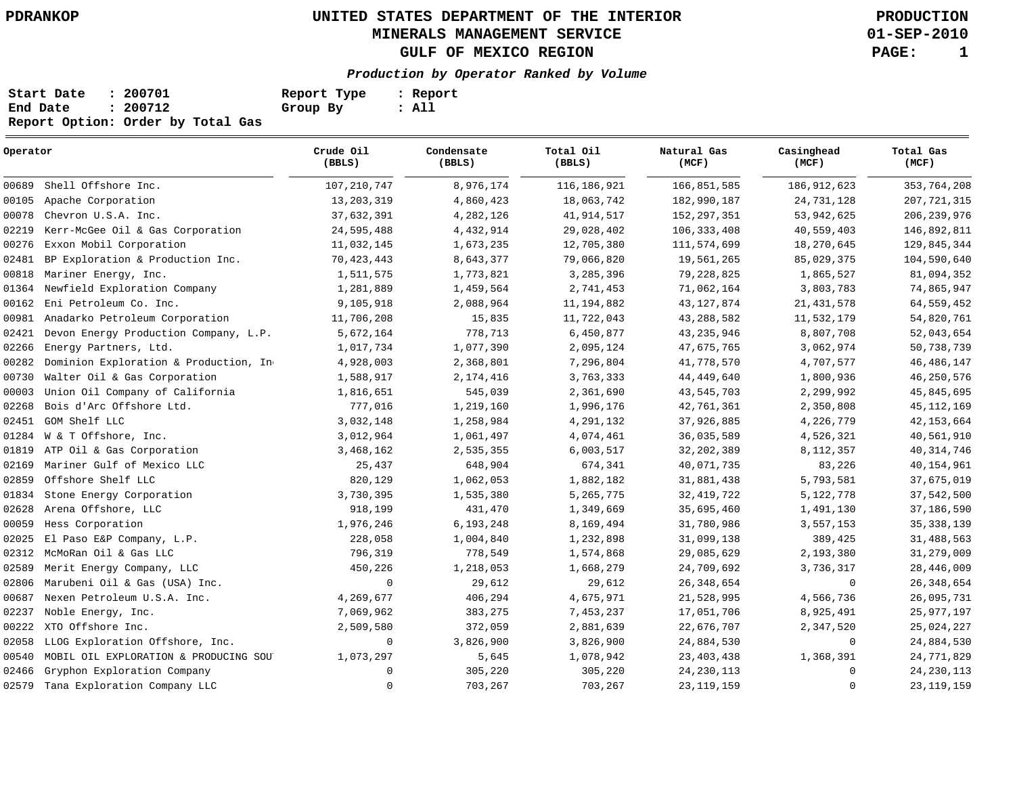**01-SEP-2010**

| Start Date | : 200701                          | Report Type | : Report |
|------------|-----------------------------------|-------------|----------|
| End Date   | : 200712                          | Group By    | : All    |
|            | Report Option: Order by Total Gas |             |          |

| Operator                                       | Crude Oil<br>(BBLS) | Condensate<br>(BBLS) | Total Oil<br>(BBLS) | Natural Gas<br>(MCF) | Casinghead<br>(MCF) | Total Gas<br>(MCF) |  |
|------------------------------------------------|---------------------|----------------------|---------------------|----------------------|---------------------|--------------------|--|
| Shell Offshore Inc.<br>00689                   | 107, 210, 747       | 8,976,174            | 116,186,921         | 166,851,585          | 186, 912, 623       | 353,764,208        |  |
| 00105<br>Apache Corporation                    | 13, 203, 319        | 4,860,423            | 18,063,742          | 182,990,187          | 24,731,128          | 207, 721, 315      |  |
| 00078<br>Chevron U.S.A. Inc.                   | 37,632,391          | 4,282,126            | 41, 914, 517        | 152, 297, 351        | 53, 942, 625        | 206, 239, 976      |  |
| 02219<br>Kerr-McGee Oil & Gas Corporation      | 24,595,488          | 4,432,914            | 29,028,402          | 106, 333, 408        | 40,559,403          | 146,892,811        |  |
| 00276<br>Exxon Mobil Corporation               | 11,032,145          | 1,673,235            | 12,705,380          | 111,574,699          | 18,270,645          | 129,845,344        |  |
| 02481<br>BP Exploration & Production Inc.      | 70, 423, 443        | 8,643,377            | 79,066,820          | 19,561,265           | 85,029,375          | 104,590,640        |  |
| 00818<br>Mariner Energy, Inc.                  | 1,511,575           | 1,773,821            | 3,285,396           | 79,228,825           | 1,865,527           | 81,094,352         |  |
| 01364<br>Newfield Exploration Company          | 1,281,889           | 1,459,564            | 2,741,453           | 71,062,164           | 3,803,783           | 74,865,947         |  |
| 00162<br>Eni Petroleum Co. Inc.                | 9,105,918           | 2,088,964            | 11, 194, 882        | 43, 127, 874         | 21, 431, 578        | 64,559,452         |  |
| 00981<br>Anadarko Petroleum Corporation        | 11,706,208          | 15,835               | 11,722,043          | 43,288,582           | 11,532,179          | 54,820,761         |  |
| 02421<br>Devon Energy Production Company, L.P. | 5,672,164           | 778,713              | 6,450,877           | 43, 235, 946         | 8,807,708           | 52,043,654         |  |
| Energy Partners, Ltd.<br>02266                 | 1,017,734           | 1,077,390            | 2,095,124           | 47,675,765           | 3,062,974           | 50,738,739         |  |
| 00282<br>Dominion Exploration & Production, In | 4,928,003           | 2,368,801            | 7,296,804           | 41,778,570           | 4,707,577           | 46, 486, 147       |  |
| Walter Oil & Gas Corporation<br>00730          | 1,588,917           | 2,174,416            | 3,763,333           | 44,449,640           | 1,800,936           | 46,250,576         |  |
| 00003<br>Union Oil Company of California       | 1,816,651           | 545,039              | 2,361,690           | 43,545,703           | 2,299,992           | 45,845,695         |  |
| Bois d'Arc Offshore Ltd.<br>02268              | 777,016             | 1,219,160            | 1,996,176           | 42,761,361           | 2,350,808           | 45, 112, 169       |  |
| GOM Shelf LLC<br>02451                         | 3,032,148           | 1,258,984            | 4,291,132           | 37,926,885           | 4,226,779           | 42, 153, 664       |  |
| W & T Offshore, Inc.<br>01284                  | 3,012,964           | 1,061,497            | 4,074,461           | 36,035,589           | 4,526,321           | 40,561,910         |  |
| 01819<br>ATP Oil & Gas Corporation             | 3,468,162           | 2,535,355            | 6,003,517           | 32,202,389           | 8, 112, 357         | 40, 314, 746       |  |
| Mariner Gulf of Mexico LLC<br>02169            | 25,437              | 648,904              | 674,341             | 40,071,735           | 83,226              | 40,154,961         |  |
| Offshore Shelf LLC<br>02859                    | 820,129             | 1,062,053            | 1,882,182           | 31,881,438           | 5,793,581           | 37,675,019         |  |
| 01834<br>Stone Energy Corporation              | 3,730,395           | 1,535,380            | 5,265,775           | 32, 419, 722         | 5, 122, 778         | 37,542,500         |  |
| 02628<br>Arena Offshore, LLC                   | 918,199             | 431,470              | 1,349,669           | 35,695,460           | 1,491,130           | 37,186,590         |  |
| 00059<br>Hess Corporation                      | 1,976,246           | 6,193,248            | 8,169,494           | 31,780,986           | 3,557,153           | 35, 338, 139       |  |
| 02025<br>El Paso E&P Company, L.P.             | 228,058             | 1,004,840            | 1,232,898           | 31,099,138           | 389,425             | 31,488,563         |  |
| McMoRan Oil & Gas LLC<br>02312                 | 796,319             | 778,549              | 1,574,868           | 29,085,629           | 2,193,380           | 31,279,009         |  |
| 02589<br>Merit Energy Company, LLC             | 450,226             | 1,218,053            | 1,668,279           | 24,709,692           | 3,736,317           | 28,446,009         |  |
| 02806<br>Marubeni Oil & Gas (USA) Inc.         | $\mathbf 0$         | 29,612               | 29,612              | 26, 348, 654         | $\mathbf 0$         | 26, 348, 654       |  |
| 00687<br>Nexen Petroleum U.S.A. Inc.           | 4,269,677           | 406,294              | 4,675,971           | 21,528,995           | 4,566,736           | 26,095,731         |  |
| 02237<br>Noble Energy, Inc.                    | 7,069,962           | 383,275              | 7,453,237           | 17,051,706           | 8,925,491           | 25, 977, 197       |  |
| 00222<br>XTO Offshore Inc.                     | 2,509,580           | 372,059              | 2,881,639           | 22,676,707           | 2,347,520           | 25,024,227         |  |
| 02058<br>LLOG Exploration Offshore, Inc.       | $\mathbf 0$         | 3,826,900            | 3,826,900           | 24,884,530           | $\mathbf 0$         | 24,884,530         |  |
| 00540<br>MOBIL OIL EXPLORATION & PRODUCING SOU | 1,073,297           | 5,645                | 1,078,942           | 23,403,438           | 1,368,391           | 24,771,829         |  |
| 02466<br>Gryphon Exploration Company           | $\Omega$            | 305,220              | 305,220             | 24, 230, 113         | $\mathbf 0$         | 24, 230, 113       |  |
| 02579<br>Tana Exploration Company LLC          | $\mathbf 0$         | 703,267              | 703,267             | 23, 119, 159         | $\mathbf 0$         | 23, 119, 159       |  |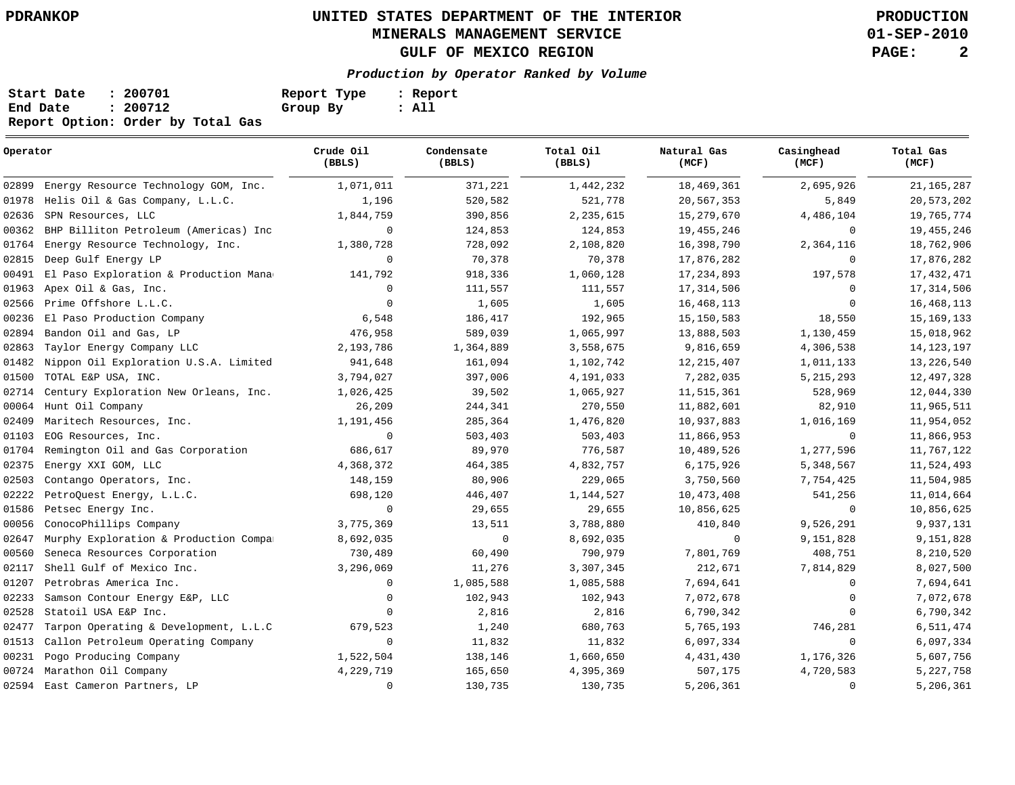**01-SEP-2010**

| Start Date | : 200701                          | Report Type | : Report |
|------------|-----------------------------------|-------------|----------|
| End Date   | : 200712                          | Group By    | : All    |
|            | Report Option: Order by Total Gas |             |          |

| Operator |                                            | Crude Oil<br>(BBLS) | Condensate<br>(BBLS) | Total Oil<br>(BBLS) | Natural Gas<br>(MCF) | Casinghead<br>(MCF) | Total Gas<br>(MCF) |  |
|----------|--------------------------------------------|---------------------|----------------------|---------------------|----------------------|---------------------|--------------------|--|
|          | 02899 Energy Resource Technology GOM, Inc. | 1,071,011           | 371,221              | 1,442,232           | 18,469,361           | 2,695,926           | 21, 165, 287       |  |
| 01978    | Helis Oil & Gas Company, L.L.C.            | 1,196               | 520,582              | 521,778             | 20,567,353           | 5,849               | 20,573,202         |  |
| 02636    | SPN Resources, LLC                         | 1,844,759           | 390,856              | 2,235,615           | 15,279,670           | 4,486,104           | 19,765,774         |  |
| 00362    | BHP Billiton Petroleum (Americas) Inc      | $\circ$             | 124,853              | 124,853             | 19,455,246           | $\mathbf 0$         | 19, 455, 246       |  |
| 01764    | Energy Resource Technology, Inc.           | 1,380,728           | 728,092              | 2,108,820           | 16,398,790           | 2,364,116           | 18,762,906         |  |
| 02815    | Deep Gulf Energy LP                        | $\Omega$            | 70,378               | 70,378              | 17,876,282           | $\circ$             | 17,876,282         |  |
| 00491    | El Paso Exploration & Production Mana      | 141,792             | 918,336              | 1,060,128           | 17, 234, 893         | 197,578             | 17, 432, 471       |  |
| 01963    | Apex Oil & Gas, Inc.                       | $\Omega$            | 111,557              | 111,557             | 17, 314, 506         | $\mathbf 0$         | 17, 314, 506       |  |
| 02566    | Prime Offshore L.L.C.                      | $\Omega$            | 1,605                | 1,605               | 16, 468, 113         | $\Omega$            | 16, 468, 113       |  |
| 00236    | El Paso Production Company                 | 6,548               | 186,417              | 192,965             | 15, 150, 583         | 18,550              | 15, 169, 133       |  |
| 02894    | Bandon Oil and Gas, LP                     | 476,958             | 589,039              | 1,065,997           | 13,888,503           | 1,130,459           | 15,018,962         |  |
| 02863    | Taylor Energy Company LLC                  | 2,193,786           | 1,364,889            | 3,558,675           | 9,816,659            | 4,306,538           | 14, 123, 197       |  |
| 01482    | Nippon Oil Exploration U.S.A. Limited      | 941,648             | 161,094              | 1,102,742           | 12, 215, 407         | 1,011,133           | 13,226,540         |  |
| 01500    | TOTAL E&P USA, INC.                        | 3,794,027           | 397,006              | 4,191,033           | 7,282,035            | 5, 215, 293         | 12,497,328         |  |
| 02714    | Century Exploration New Orleans, Inc.      | 1,026,425           | 39,502               | 1,065,927           | 11,515,361           | 528,969             | 12,044,330         |  |
| 00064    | Hunt Oil Company                           | 26,209              | 244,341              | 270,550             | 11,882,601           | 82,910              | 11,965,511         |  |
| 02409    | Maritech Resources, Inc.                   | 1,191,456           | 285,364              | 1,476,820           | 10,937,883           | 1,016,169           | 11,954,052         |  |
| 01103    | EOG Resources, Inc.                        | $\mathbf 0$         | 503,403              | 503,403             | 11,866,953           | $\circ$             | 11,866,953         |  |
| 01704    | Remington Oil and Gas Corporation          | 686,617             | 89,970               | 776,587             | 10,489,526           | 1,277,596           | 11,767,122         |  |
| 02375    | Energy XXI GOM, LLC                        | 4,368,372           | 464,385              | 4,832,757           | 6,175,926            | 5,348,567           | 11,524,493         |  |
| 02503    | Contango Operators, Inc.                   | 148,159             | 80,906               | 229,065             | 3,750,560            | 7,754,425           | 11,504,985         |  |
| 02222    | PetroQuest Energy, L.L.C.                  | 698,120             | 446,407              | 1,144,527           | 10,473,408           | 541,256             | 11,014,664         |  |
| 01586    | Petsec Energy Inc.                         | $\mathbf 0$         | 29,655               | 29,655              | 10,856,625           | $\mathbf 0$         | 10,856,625         |  |
| 00056    | ConocoPhillips Company                     | 3,775,369           | 13,511               | 3,788,880           | 410,840              | 9,526,291           | 9,937,131          |  |
| 02647    | Murphy Exploration & Production Compa:     | 8,692,035           | $\mathbf 0$          | 8,692,035           | $\mathbf 0$          | 9,151,828           | 9,151,828          |  |
| 00560    | Seneca Resources Corporation               | 730,489             | 60,490               | 790,979             | 7,801,769            | 408,751             | 8,210,520          |  |
| 02117    | Shell Gulf of Mexico Inc.                  | 3,296,069           | 11,276               | 3,307,345           | 212,671              | 7,814,829           | 8,027,500          |  |
| 01207    | Petrobras America Inc.                     | $\mathbf 0$         | 1,085,588            | 1,085,588           | 7,694,641            | $\mathbf 0$         | 7,694,641          |  |
| 02233    | Samson Contour Energy E&P, LLC             | $\mathbf 0$         | 102,943              | 102,943             | 7,072,678            | $\mathbf 0$         | 7,072,678          |  |
| 02528    | Statoil USA E&P Inc.                       | $\mathbf{0}$        | 2,816                | 2,816               | 6,790,342            | 0                   | 6,790,342          |  |
| 02477    | Tarpon Operating & Development, L.L.C      | 679,523             | 1,240                | 680,763             | 5,765,193            | 746,281             | 6,511,474          |  |
| 01513    | Callon Petroleum Operating Company         | $\mathbf 0$         | 11,832               | 11,832              | 6,097,334            | $\mathbf 0$         | 6,097,334          |  |
| 00231    | Pogo Producing Company                     | 1,522,504           | 138,146              | 1,660,650           | 4,431,430            | 1,176,326           | 5,607,756          |  |
| 00724    | Marathon Oil Company                       | 4,229,719           | 165,650              | 4,395,369           | 507,175              | 4,720,583           | 5,227,758          |  |
|          | 02594 East Cameron Partners, LP            | $\circ$             | 130,735              | 130,735             | 5,206,361            | $\mathbf 0$         | 5,206,361          |  |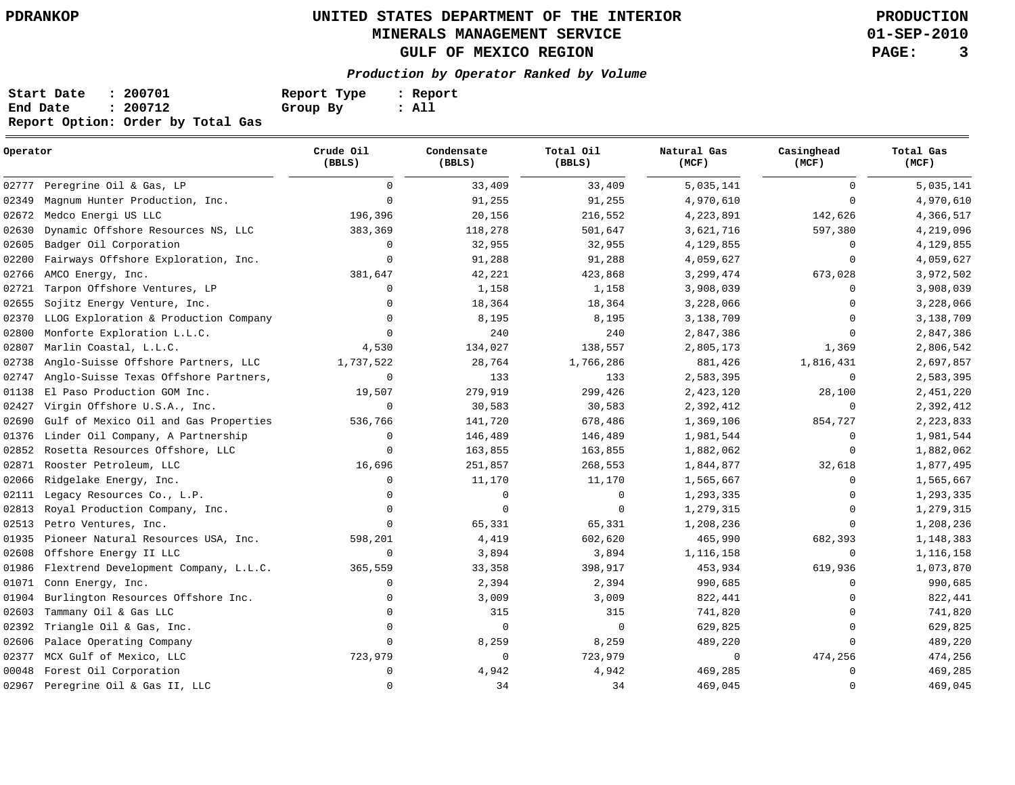**01-SEP-2010**

| Start Date | : 200701                          | Report Type | : Report |
|------------|-----------------------------------|-------------|----------|
| End Date   | : 200712                          | Group By    | : All    |
|            | Report Option: Order by Total Gas |             |          |

| Operator |                                       | Crude Oil<br>Total Oil<br>Condensate<br>(BBLS)<br>(BBLS)<br>(BBLS) |             | Natural Gas<br>(MCF) | Casinghead<br>(MCF) | Total Gas<br>(MCF) |           |
|----------|---------------------------------------|--------------------------------------------------------------------|-------------|----------------------|---------------------|--------------------|-----------|
| 02777    | Peregrine Oil & Gas, LP               | $\Omega$                                                           | 33,409      | 33,409               | 5,035,141           | $\mathbf{0}$       | 5,035,141 |
| 02349    | Magnum Hunter Production, Inc.        | $\Omega$                                                           | 91,255      | 91,255               | 4,970,610           | $\mathbf{0}$       | 4,970,610 |
| 02672    | Medco Energi US LLC                   | 196,396                                                            | 20,156      | 216,552              | 4,223,891           | 142,626            | 4,366,517 |
| 02630    | Dynamic Offshore Resources NS, LLC    | 383,369                                                            | 118,278     | 501,647              | 3,621,716           | 597,380            | 4,219,096 |
| 02605    | Badger Oil Corporation                | $\Omega$                                                           | 32,955      | 32,955               | 4,129,855           | 0                  | 4,129,855 |
| 02200    | Fairways Offshore Exploration, Inc.   | $\Omega$                                                           | 91,288      | 91,288               | 4,059,627           | $\mathbf 0$        | 4,059,627 |
| 02766    | AMCO Energy, Inc.                     | 381,647                                                            | 42,221      | 423,868              | 3,299,474           | 673,028            | 3,972,502 |
| 02721    | Tarpon Offshore Ventures, LP          | $\Omega$                                                           | 1,158       | 1,158                | 3,908,039           | 0                  | 3,908,039 |
| 02655    | Sojitz Energy Venture, Inc.           | $\mathbf 0$                                                        | 18,364      | 18,364               | 3,228,066           | $\mathbf{0}$       | 3,228,066 |
| 02370    | LLOG Exploration & Production Company | $\Omega$                                                           | 8,195       | 8,195                | 3,138,709           | $\mathbf 0$        | 3,138,709 |
| 02800    | Monforte Exploration L.L.C.           | $\mathbf 0$                                                        | 240         | 240                  | 2,847,386           | $\mathbf{0}$       | 2,847,386 |
| 02807    | Marlin Coastal, L.L.C.                | 4,530                                                              | 134,027     | 138,557              | 2,805,173           | 1,369              | 2,806,542 |
| 02738    | Anglo-Suisse Offshore Partners, LLC   | 1,737,522                                                          | 28,764      | 1,766,286            | 881,426             | 1,816,431          | 2,697,857 |
| 02747    | Anglo-Suisse Texas Offshore Partners, | 0                                                                  | 133         | 133                  | 2,583,395           | 0                  | 2,583,395 |
| 01138    | El Paso Production GOM Inc.           | 19,507                                                             | 279,919     | 299,426              | 2,423,120           | 28,100             | 2,451,220 |
| 02427    | Virgin Offshore U.S.A., Inc.          | $\mathbf 0$                                                        | 30,583      | 30,583               | 2,392,412           | 0                  | 2,392,412 |
| 02690    | Gulf of Mexico Oil and Gas Properties | 536,766                                                            | 141,720     | 678,486              | 1,369,106           | 854,727            | 2,223,833 |
| 01376    | Linder Oil Company, A Partnership     | $\mathbf 0$                                                        | 146,489     | 146,489              | 1,981,544           | 0                  | 1,981,544 |
| 02852    | Rosetta Resources Offshore, LLC       | $\Omega$                                                           | 163,855     | 163,855              | 1,882,062           | $\mathbf{0}$       | 1,882,062 |
| 02871    | Rooster Petroleum, LLC                | 16,696                                                             | 251,857     | 268,553              | 1,844,877           | 32,618             | 1,877,495 |
| 02066    | Ridgelake Energy, Inc.                | $\Omega$                                                           | 11,170      | 11,170               | 1,565,667           | 0                  | 1,565,667 |
| 02111    | Legacy Resources Co., L.P.            | $\Omega$                                                           | $\mathbf 0$ | $\mathbf 0$          | 1,293,335           | 0                  | 1,293,335 |
| 02813    | Royal Production Company, Inc.        | $\Omega$                                                           | $\mathbf 0$ | $\mathbf 0$          | 1,279,315           | 0                  | 1,279,315 |
| 02513    | Petro Ventures, Inc.                  | $\Omega$                                                           | 65,331      | 65,331               | 1,208,236           | 0                  | 1,208,236 |
| 01935    | Pioneer Natural Resources USA, Inc.   | 598,201                                                            | 4,419       | 602,620              | 465,990             | 682,393            | 1,148,383 |
| 02608    | Offshore Energy II LLC                | $\mathbf 0$                                                        | 3,894       | 3,894                | 1,116,158           | $\mathbf 0$        | 1,116,158 |
| 01986    | Flextrend Development Company, L.L.C. | 365,559                                                            | 33,358      | 398,917              | 453,934             | 619,936            | 1,073,870 |
| 01071    | Conn Energy, Inc.                     | $\Omega$                                                           | 2,394       | 2,394                | 990,685             | 0                  | 990,685   |
| 01904    | Burlington Resources Offshore Inc.    | $\Omega$                                                           | 3,009       | 3,009                | 822,441             | 0                  | 822,441   |
| 02603    | Tammany Oil & Gas LLC                 | $\Omega$                                                           | 315         | 315                  | 741,820             | $\mathbf 0$        | 741,820   |
| 02392    | Triangle Oil & Gas, Inc.              | $\Omega$                                                           | 0           | 0                    | 629,825             | 0                  | 629,825   |
| 02606    | Palace Operating Company              | $\Omega$                                                           | 8,259       | 8,259                | 489,220             | $\mathbf 0$        | 489,220   |
| 02377    | MCX Gulf of Mexico, LLC               | 723,979                                                            | 0           | 723,979              | 0                   | 474,256            | 474,256   |
| 00048    | Forest Oil Corporation                | $\Omega$                                                           | 4,942       | 4,942                | 469,285             | $\mathbf 0$        | 469,285   |
|          | 02967 Peregrine Oil & Gas II, LLC     | $\Omega$                                                           | 34          | 34                   | 469,045             | 0                  | 469,045   |